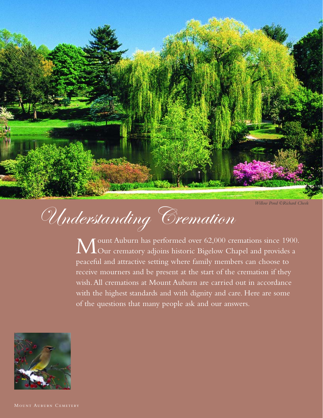

*Willow Pond ©Richard Cheek*

# Understanding Cremation

Mount Auburn has performed over 62,000 cremations since 1900.<br>Our crematory adjoins historic Bigelow Chapel and provides a peaceful and attractive setting where family members can choose to receive mourners and be present at the start of the cremation if they wish.All cremations at Mount Auburn are carried out in accordance with the highest standards and with dignity and care. Here are some of the questions that many people ask and our answers.



MOUNT AUBURN CEMETERY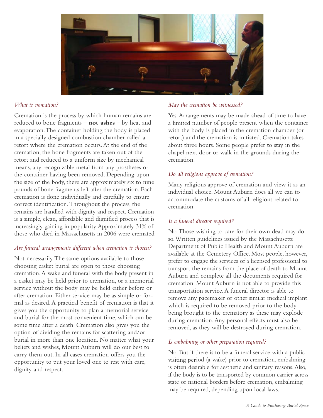

## *What is cremation?*

Cremation is the process by which human remains are reduced to bone fragments – **not ashes** – by heat and evaporation.The container holding the body is placed in a specially designed combustion chamber called a retort where the cremation occurs.At the end of the cremation, the bone fragments are taken out of the retort and reduced to a uniform size by mechanical means, any recognizable metal from any prostheses or the container having been removed. Depending upon the size of the body, there are approximately six to nine pounds of bone fragments left after the cremation. Each cremation is done individually and carefully to ensure correct identification.Throughout the process, the remains are handled with dignity and respect. Cremation is a simple, clean, affordable and dignified process that is increasingly gaining in popularity.Approximately 31% of those who died in Massachusetts in 2006 were cremated

#### *Are funeral arrangements different when cremation is chosen?*

Not necessarily.The same options available to those choosing casket burial are open to those choosing cremation.A wake and funeral with the body present in a casket may be held prior to cremation, or a memorial service without the body may be held either before or after cremation. Either service may be as simple or formal as desired.A practical benefit of cremation is that it gives you the opportunity to plan a memorial service and burial for the most convenient time, which can be some time after a death. Cremation also gives you the option of dividing the remains for scattering and/or burial in more than one location. No matter what your beliefs and wishes, Mount Auburn will do our best to carry them out. In all cases cremation offers you the opportunity to put your loved one to rest with care, dignity and respect.

### *May the cremation be witnessed?*

Yes.Arrangements may be made ahead of time to have a limited number of people present when the container with the body is placed in the cremation chamber (or retort) and the cremation is initiated. Cremation takes about three hours. Some people prefer to stay in the chapel next door or walk in the grounds during the cremation.

# *Do all religions approve of cremation?*

Many religions approve of cremation and view it as an individual choice. Mount Auburn does all we can to accommodate the customs of all religions related to cremation.

# *Is a funeral director required?*

No.Those wishing to care for their own dead may do so.Written guidelines issued by the Massachusetts Department of Public Health and Mount Auburn are available at the Cemetery Office. Most people, however, prefer to engage the services of a licensed professional to transport the remains from the place of death to Mount Auburn and complete all the documents required for cremation. Mount Auburn is not able to provide this transportation service.A funeral director is able to remove any pacemaker or other similar medical implant which is required to be removed prior to the body being brought to the crematory as these may explode during cremation.Any personal effects must also be removed, as they will be destroyed during cremation.

# *Is embalming or other preparation required?*

No. But if there is to be a funeral service with a public visiting period (a wake) prior to cremation, embalming is often desirable for aesthetic and sanitary reasons.Also, if the body is to be transported by common carrier across state or national borders before cremation, embalming may be required, depending upon local laws.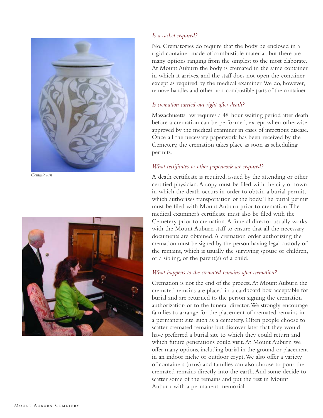

*Ceramic urn*



## *Is a casket required?*

No. Crematories do require that the body be enclosed in a rigid container made of combustible material, but there are many options ranging from the simplest to the most elaborate. At Mount Auburn the body is cremated in the same container in which it arrives, and the staff does not open the container except as required by the medical examiner.We do, however, remove handles and other non-combustible parts of the container.

#### *Is cremation carried out right after death?*

Massachusetts law requires a 48-hour waiting period after death before a cremation can be performed, except when otherwise approved by the medical examiner in cases of infectious disease. Once all the necessary paperwork has been received by the Cemetery, the cremation takes place as soon as scheduling permits.

#### *What certificates or other paperwork are required?*

A death certificate is required, issued by the attending or other certified physician.A copy must be filed with the city or town in which the death occurs in order to obtain a burial permit, which authorizes transportation of the body.The burial permit must be filed with Mount Auburn prior to cremation.The medical examiner's certificate must also be filed with the Cemetery prior to cremation.A funeral director usually works with the Mount Auburn staff to ensure that all the necessary documents are obtained.A cremation order authorizing the cremation must be signed by the person having legal custody of the remains, which is usually the surviving spouse or children, or a sibling, or the parent(s) of a child.

#### *What happens to the cremated remains after cremation?*

Cremation is not the end of the process.At Mount Auburn the cremated remains are placed in a cardboard box acceptable for burial and are returned to the person signing the cremation authorization or to the funeral director.We strongly encourage families to arrange for the placement of cremated remains in a permanent site, such as a cemetery. Often people choose to scatter cremated remains but discover later that they would have preferred a burial site to which they could return and which future generations could visit.At Mount Auburn we offer many options, including burial in the ground or placement in an indoor niche or outdoor crypt.We also offer a variety of containers (urns) and families can also choose to pour the cremated remains directly into the earth.And some decide to scatter some of the remains and put the rest in Mount Auburn with a permanent memorial.